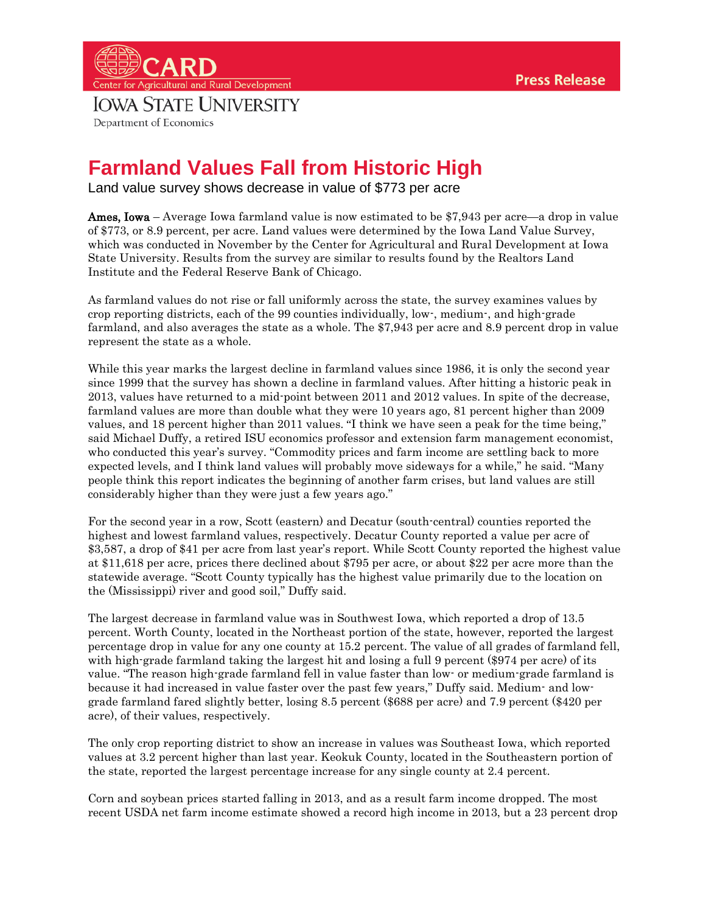## nter for Agricultural and Rural Development **IOWA STATE UNIVERSITY** Department of Economics

## **Farmland Values Fall from Historic High**

Land value survey shows decrease in value of \$773 per acre

**Ames, Iowa** – Average Iowa farmland value is now estimated to be \$7,943 per acre—a drop in value of \$773, or 8.9 percent, per acre. Land values were determined by the Iowa Land Value Survey, which was conducted in November by the Center for Agricultural and Rural Development at Iowa State University. Results from the survey are similar to results found by the Realtors Land Institute and the Federal Reserve Bank of Chicago.

As farmland values do not rise or fall uniformly across the state, the survey examines values by crop reporting districts, each of the 99 counties individually, low-, medium-, and high-grade farmland, and also averages the state as a whole. The \$7,943 per acre and 8.9 percent drop in value represent the state as a whole.

While this year marks the largest decline in farmland values since 1986, it is only the second year since 1999 that the survey has shown a decline in farmland values. After hitting a historic peak in 2013, values have returned to a mid-point between 2011 and 2012 values. In spite of the decrease, farmland values are more than double what they were 10 years ago, 81 percent higher than 2009 values, and 18 percent higher than 2011 values. "I think we have seen a peak for the time being," said Michael Duffy, a retired ISU economics professor and extension farm management economist, who conducted this year's survey. "Commodity prices and farm income are settling back to more expected levels, and I think land values will probably move sideways for a while," he said. "Many people think this report indicates the beginning of another farm crises, but land values are still considerably higher than they were just a few years ago."

For the second year in a row, Scott (eastern) and Decatur (south-central) counties reported the highest and lowest farmland values, respectively. Decatur County reported a value per acre of \$3,587, a drop of \$41 per acre from last year's report. While Scott County reported the highest value at \$11,618 per acre, prices there declined about \$795 per acre, or about \$22 per acre more than the statewide average. "Scott County typically has the highest value primarily due to the location on the (Mississippi) river and good soil," Duffy said.

The largest decrease in farmland value was in Southwest Iowa, which reported a drop of 13.5 percent. Worth County, located in the Northeast portion of the state, however, reported the largest percentage drop in value for any one county at 15.2 percent. The value of all grades of farmland fell, with high-grade farmland taking the largest hit and losing a full 9 percent (\$974 per acre) of its value. "The reason high-grade farmland fell in value faster than low- or medium-grade farmland is because it had increased in value faster over the past few years," Duffy said. Medium- and lowgrade farmland fared slightly better, losing 8.5 percent (\$688 per acre) and 7.9 percent (\$420 per acre), of their values, respectively.

The only crop reporting district to show an increase in values was Southeast Iowa, which reported values at 3.2 percent higher than last year. Keokuk County, located in the Southeastern portion of the state, reported the largest percentage increase for any single county at 2.4 percent.

Corn and soybean prices started falling in 2013, and as a result farm income dropped. The most recent USDA net farm income estimate showed a record high income in 2013, but a 23 percent drop